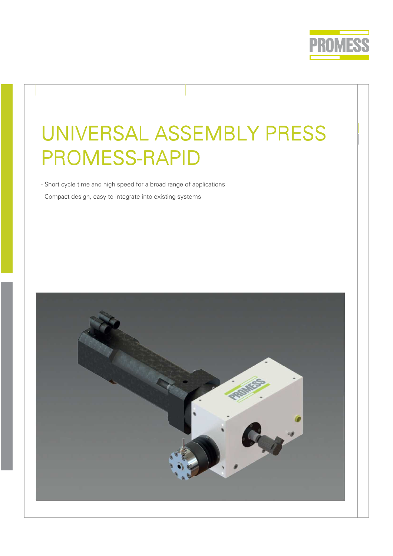

# UNIVERSAL ASSEMBLY PRESS PROMESS-RAPID

- Short cycle time and high speed for a broad range of applications
- Compact design, easy to integrate into existing systems